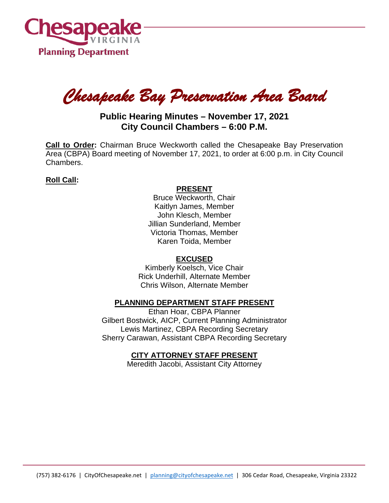

*Chesapeake Bay Preservation Area Board* 

# **Public Hearing Minutes – November 17, 2021 City Council Chambers – 6:00 P.M.**

**Call to Order:** Chairman Bruce Weckworth called the Chesapeake Bay Preservation Area (CBPA) Board meeting of November 17, 2021, to order at 6:00 p.m. in City Council Chambers.

## **Roll Call:**

#### **PRESENT**

Bruce Weckworth, Chair Kaitlyn James, Member John Klesch, Member Jillian Sunderland, Member Victoria Thomas, Member Karen Toida, Member

### **EXCUSED**

Kimberly Koelsch, Vice Chair Rick Underhill, Alternate Member Chris Wilson, Alternate Member

### **PLANNING DEPARTMENT STAFF PRESENT**

Ethan Hoar, CBPA Planner Gilbert Bostwick, AICP, Current Planning Administrator Lewis Martinez, CBPA Recording Secretary Sherry Carawan, Assistant CBPA Recording Secretary

## **CITY ATTORNEY STAFF PRESENT**

Meredith Jacobi, Assistant City Attorney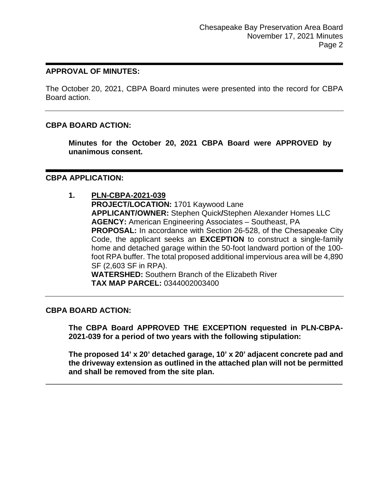#### **APPROVAL OF MINUTES:**

The October 20, 2021, CBPA Board minutes were presented into the record for CBPA Board action.

#### **CBPA BOARD ACTION:**

**Minutes for the October 20, 2021 CBPA Board were APPROVED by unanimous consent.**

#### **CBPA APPLICATION:**

**1. PLN-CBPA-2021-039 PROJECT/LOCATION:** 1701 Kaywood Lane **APPLICANT/OWNER:** Stephen Quick**/**Stephen Alexander Homes LLC **AGENCY:** American Engineering Associates – Southeast, PA **PROPOSAL:** In accordance with Section 26-528, of the Chesapeake City Code, the applicant seeks an **EXCEPTION** to construct a single-family home and detached garage within the 50-foot landward portion of the 100 foot RPA buffer. The total proposed additional impervious area will be 4,890 SF (2,603 SF in RPA). **WATERSHED:** Southern Branch of the Elizabeth River **TAX MAP PARCEL:** 0344002003400

#### **CBPA BOARD ACTION:**

**The CBPA Board APPROVED THE EXCEPTION requested in PLN-CBPA-2021-039 for a period of two years with the following stipulation:**

**The proposed 14' x 20' detached garage, 10' x 20' adjacent concrete pad and the driveway extension as outlined in the attached plan will not be permitted and shall be removed from the site plan.**

\_\_\_\_\_\_\_\_\_\_\_\_\_\_\_\_\_\_\_\_\_\_\_\_\_\_\_\_\_\_\_\_\_\_\_\_\_\_\_\_\_\_\_\_\_\_\_\_\_\_\_\_\_\_\_\_\_\_\_\_\_\_\_\_\_\_\_\_\_\_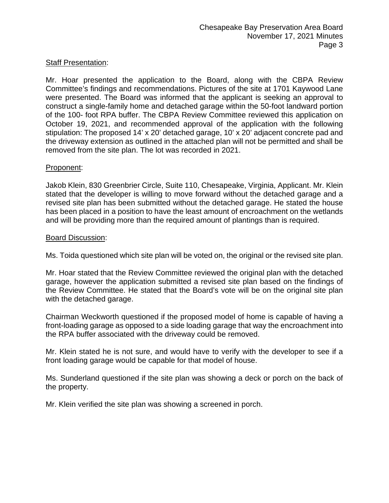## Staff Presentation:

Mr. Hoar presented the application to the Board, along with the CBPA Review Committee's findings and recommendations. Pictures of the site at 1701 Kaywood Lane were presented. The Board was informed that the applicant is seeking an approval to construct a single-family home and detached garage within the 50-foot landward portion of the 100- foot RPA buffer. The CBPA Review Committee reviewed this application on October 19, 2021, and recommended approval of the application with the following stipulation: The proposed 14' x 20' detached garage, 10' x 20' adjacent concrete pad and the driveway extension as outlined in the attached plan will not be permitted and shall be removed from the site plan. The lot was recorded in 2021.

### Proponent:

Jakob Klein, 830 Greenbrier Circle, Suite 110, Chesapeake, Virginia, Applicant. Mr. Klein stated that the developer is willing to move forward without the detached garage and a revised site plan has been submitted without the detached garage. He stated the house has been placed in a position to have the least amount of encroachment on the wetlands and will be providing more than the required amount of plantings than is required.

#### Board Discussion:

Ms. Toida questioned which site plan will be voted on, the original or the revised site plan.

Mr. Hoar stated that the Review Committee reviewed the original plan with the detached garage, however the application submitted a revised site plan based on the findings of the Review Committee. He stated that the Board's vote will be on the original site plan with the detached garage.

Chairman Weckworth questioned if the proposed model of home is capable of having a front-loading garage as opposed to a side loading garage that way the encroachment into the RPA buffer associated with the driveway could be removed.

Mr. Klein stated he is not sure, and would have to verify with the developer to see if a front loading garage would be capable for that model of house.

Ms. Sunderland questioned if the site plan was showing a deck or porch on the back of the property.

Mr. Klein verified the site plan was showing a screened in porch.